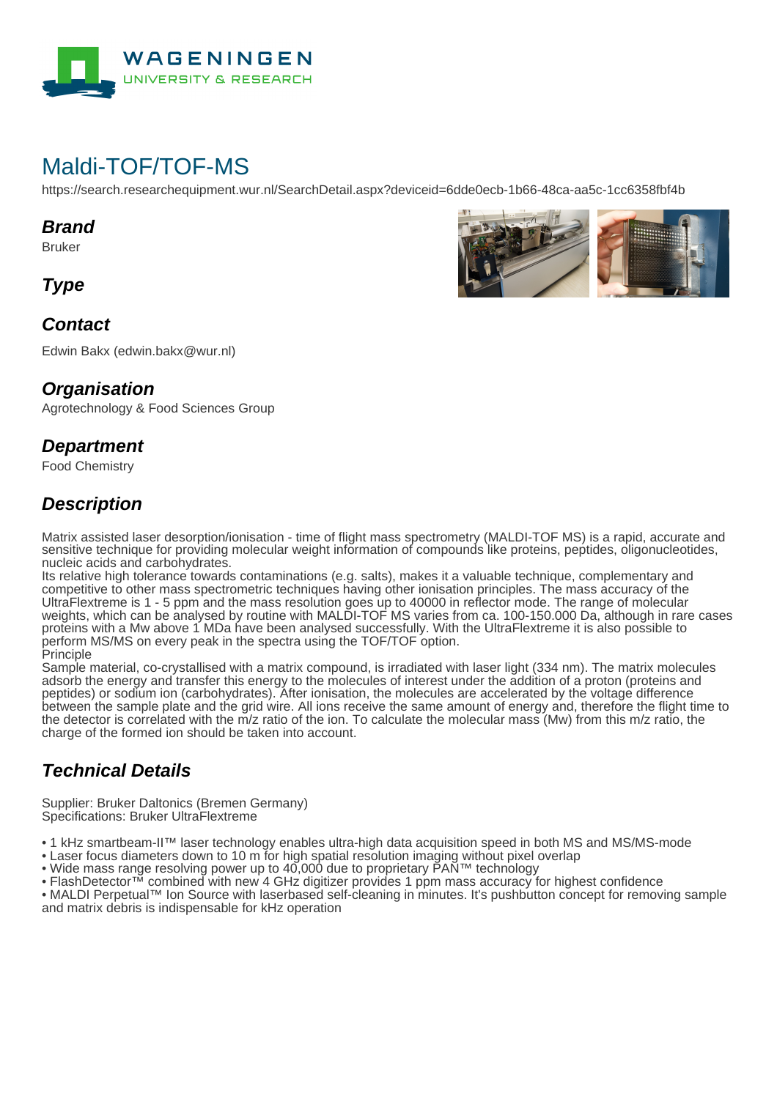

# Maldi-TOF/TOF-MS

https://search.researchequipment.wur.nl/SearchDetail.aspx?deviceid=6dde0ecb-1b66-48ca-aa5c-1cc6358fbf4b

#### **Brand**

Bruker

**Type**

### **Contact**

Edwin Bakx (edwin.bakx@wur.nl)

#### **Organisation**

Agrotechnology & Food Sciences Group

#### **Department**

Food Chemistry

## **Description**

Matrix assisted laser desorption/ionisation - time of flight mass spectrometry (MALDI-TOF MS) is a rapid, accurate and sensitive technique for providing molecular weight information of compounds like proteins, peptides, oligonucleotides, nucleic acids and carbohydrates.

Its relative high tolerance towards contaminations (e.g. salts), makes it a valuable technique, complementary and competitive to other mass spectrometric techniques having other ionisation principles. The mass accuracy of the UltraFlextreme is 1 - 5 ppm and the mass resolution goes up to 40000 in reflector mode. The range of molecular weights, which can be analysed by routine with MALDI-TOF MS varies from ca. 100-150.000 Da, although in rare cases proteins with a Mw above 1 MDa have been analysed successfully. With the UltraFlextreme it is also possible to perform MS/MS on every peak in the spectra using the TOF/TOF option. Principle

Sample material, co-crystallised with a matrix compound, is irradiated with laser light (334 nm). The matrix molecules adsorb the energy and transfer this energy to the molecules of interest under the addition of a proton (proteins and peptides) or sodium ion (carbohydrates). After ionisation, the molecules are accelerated by the voltage difference between the sample plate and the grid wire. All ions receive the same amount of energy and, therefore the flight time to the detector is correlated with the m/z ratio of the ion. To calculate the molecular mass (Mw) from this m/z ratio, the charge of the formed ion should be taken into account.

## **Technical Details**

Supplier: Bruker Daltonics (Bremen Germany) Specifications: Bruker UltraFlextreme

• 1 kHz smartbeam-II™ laser technology enables ultra-high data acquisition speed in both MS and MS/MS-mode

- Laser focus diameters down to 10 m for high spatial resolution imaging without pixel overlap
- Wide mass range resolving power up to 40,000 due to proprietary PAN™ technology

• FlashDetector™ combined with new 4 GHz digitizer provides 1 ppm mass accuracy for highest confidence

• MALDI Perpetual™ Ion Source with laserbased self-cleaning in minutes. It's pushbutton concept for removing sample and matrix debris is indispensable for kHz operation